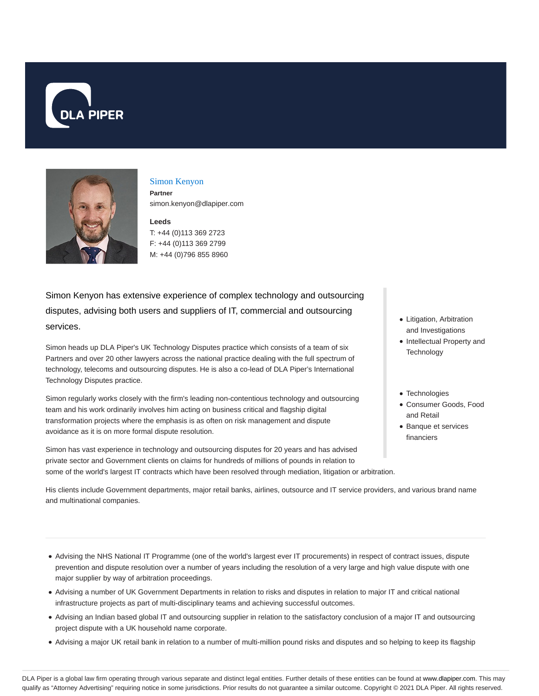



## Simon Kenyon

**Partner** simon.kenyon@dlapiper.com

### **Leeds**

T: +44 (0)113 369 2723 F: +44 (0)113 369 2799 M: +44 (0)796 855 8960

Simon Kenyon has extensive experience of complex technology and outsourcing disputes, advising both users and suppliers of IT, commercial and outsourcing services.

Simon heads up DLA Piper's UK Technology Disputes practice which consists of a team of six Partners and over 20 other lawyers across the national practice dealing with the full spectrum of technology, telecoms and outsourcing disputes. He is also a co-lead of DLA Piper's International Technology Disputes practice.

Simon regularly works closely with the firm's leading non-contentious technology and outsourcing team and his work ordinarily involves him acting on business critical and flagship digital transformation projects where the emphasis is as often on risk management and dispute avoidance as it is on more formal dispute resolution.

Simon has vast experience in technology and outsourcing disputes for 20 years and has advised private sector and Government clients on claims for hundreds of millions of pounds in relation to some of the world's largest IT contracts which have been resolved through mediation, litigation or arbitration.

- Litigation, Arbitration and Investigations
- Intellectual Property and **Technology**
- Technologies
- Consumer Goods, Food and Retail
- Banque et services financiers

His clients include Government departments, major retail banks, airlines, outsource and IT service providers, and various brand name and multinational companies.

- Advising the NHS National IT Programme (one of the world's largest ever IT procurements) in respect of contract issues, dispute prevention and dispute resolution over a number of years including the resolution of a very large and high value dispute with one major supplier by way of arbitration proceedings.
- Advising a number of UK Government Departments in relation to risks and disputes in relation to major IT and critical national infrastructure projects as part of multi-disciplinary teams and achieving successful outcomes.
- Advising an Indian based global IT and outsourcing supplier in relation to the satisfactory conclusion of a major IT and outsourcing project dispute with a UK household name corporate.
- Advising a major UK retail bank in relation to a number of multi-million pound risks and disputes and so helping to keep its flagship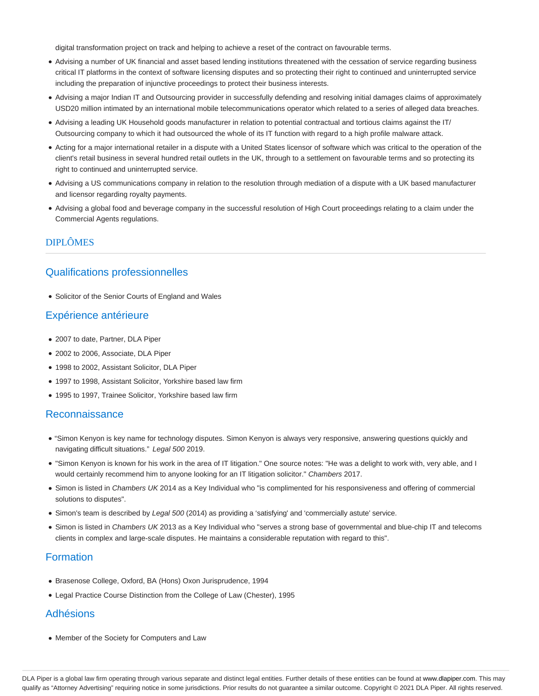digital transformation project on track and helping to achieve a reset of the contract on favourable terms.

- Advising a number of UK financial and asset based lending institutions threatened with the cessation of service regarding business critical IT platforms in the context of software licensing disputes and so protecting their right to continued and uninterrupted service including the preparation of injunctive proceedings to protect their business interests.
- Advising a major Indian IT and Outsourcing provider in successfully defending and resolving initial damages claims of approximately USD20 million intimated by an international mobile telecommunications operator which related to a series of alleged data breaches.
- Advising a leading UK Household goods manufacturer in relation to potential contractual and tortious claims against the IT/ Outsourcing company to which it had outsourced the whole of its IT function with regard to a high profile malware attack.
- Acting for a major international retailer in a dispute with a United States licensor of software which was critical to the operation of the client's retail business in several hundred retail outlets in the UK, through to a settlement on favourable terms and so protecting its right to continued and uninterrupted service.
- Advising a US communications company in relation to the resolution through mediation of a dispute with a UK based manufacturer and licensor regarding royalty payments.
- Advising a global food and beverage company in the successful resolution of High Court proceedings relating to a claim under the Commercial Agents regulations.

## DIPLÔMES

# Qualifications professionnelles

• Solicitor of the Senior Courts of England and Wales

## Expérience antérieure

- 2007 to date, Partner, DLA Piper
- 2002 to 2006, Associate, DLA Piper
- 1998 to 2002, Assistant Solicitor, DLA Piper
- 1997 to 1998, Assistant Solicitor, Yorkshire based law firm
- 1995 to 1997, Trainee Solicitor, Yorkshire based law firm

## Reconnaissance

- "Simon Kenyon is key name for technology disputes. Simon Kenyon is always very responsive, answering questions quickly and navigating difficult situations." Legal 500 2019.
- "Simon Kenyon is known for his work in the area of IT litigation." One source notes: "He was a delight to work with, very able, and I would certainly recommend him to anyone looking for an IT litigation solicitor." Chambers 2017.
- Simon is listed in Chambers UK 2014 as a Key Individual who "is complimented for his responsiveness and offering of commercial solutions to disputes".
- Simon's team is described by Legal 500 (2014) as providing a 'satisfying' and 'commercially astute' service.
- Simon is listed in Chambers UK 2013 as a Key Individual who "serves a strong base of governmental and blue-chip IT and telecoms clients in complex and large-scale disputes. He maintains a considerable reputation with regard to this".

# Formation

- Brasenose College, Oxford, BA (Hons) Oxon Jurisprudence, 1994
- Legal Practice Course Distinction from the College of Law (Chester), 1995

# Adhésions

Member of the Society for Computers and Law